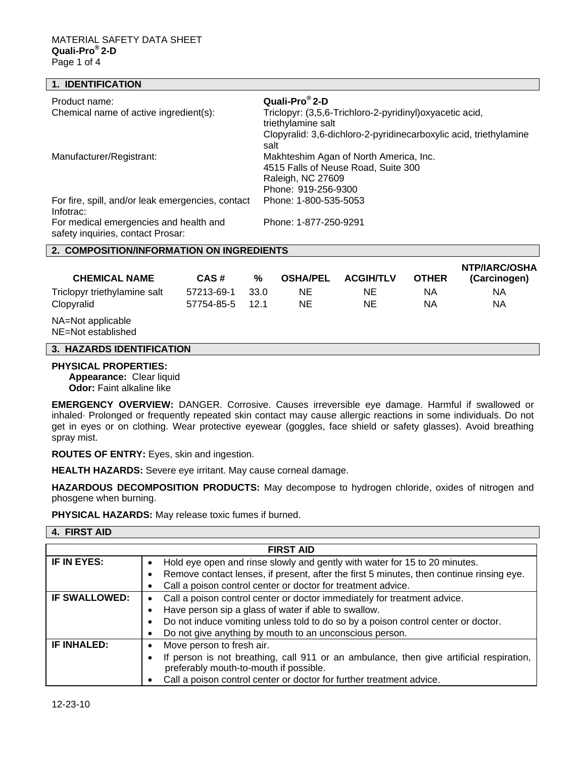## **1. IDENTIFICATION**

| Product name:                                     | Quali-Pro <sup>®</sup> 2-D                                                |  |  |  |
|---------------------------------------------------|---------------------------------------------------------------------------|--|--|--|
| Chemical name of active ingredient(s):            | Triclopyr: (3,5,6-Trichloro-2-pyridinyl) oxyacetic acid,                  |  |  |  |
|                                                   | triethylamine salt                                                        |  |  |  |
|                                                   | Clopyralid: 3,6-dichloro-2-pyridinecarboxylic acid, triethylamine<br>salt |  |  |  |
| Manufacturer/Registrant:                          | Makhteshim Agan of North America, Inc.                                    |  |  |  |
|                                                   | 4515 Falls of Neuse Road, Suite 300                                       |  |  |  |
|                                                   | Raleigh, NC 27609                                                         |  |  |  |
|                                                   | Phone: 919-256-9300                                                       |  |  |  |
| For fire, spill, and/or leak emergencies, contact | Phone: 1-800-535-5053                                                     |  |  |  |
| Infotrac:                                         |                                                                           |  |  |  |
| For medical emergencies and health and            | Phone: 1-877-250-9291                                                     |  |  |  |
| safety inquiries, contact Prosar:                 |                                                                           |  |  |  |
| 2. COMPOSITION/INFORMATION ON INGREDIENTS         |                                                                           |  |  |  |

| <b>CHEMICAL NAME</b>                    | CAS#       | %    | <b>OSHA/PEL</b> | <b>ACGIH/TLV</b> | <b>OTHER</b> | NTP/IARC/OSHA<br>(Carcinogen) |
|-----------------------------------------|------------|------|-----------------|------------------|--------------|-------------------------------|
| Triclopyr triethylamine salt            | 57213-69-1 | 33.0 | NE.             | NE.              | ΝA           | ΝA                            |
| Clopyralid                              | 57754-85-5 | 121  | ΝE              | NE               | ΝA           | ΝA                            |
| NA=Not applicable<br>NE=Not established |            |      |                 |                  |              |                               |

#### **3. HAZARDS IDENTIFICATION**

#### **PHYSICAL PROPERTIES:**

**Appearance:** Clear liquid **Odor:** Faint alkaline like

**EMERGENCY OVERVIEW:** DANGER. Corrosive. Causes irreversible eye damage. Harmful if swallowed or inhaled· Prolonged or frequently repeated skin contact may cause allergic reactions in some individuals. Do not get in eyes or on clothing. Wear protective eyewear (goggles, face shield or safety glasses). Avoid breathing spray mist.

**ROUTES OF ENTRY:** Eyes, skin and ingestion.

**HEALTH HAZARDS:** Severe eye irritant. May cause corneal damage.

**HAZARDOUS DECOMPOSITION PRODUCTS:** May decompose to hydrogen chloride, oxides of nitrogen and phosgene when burning.

**PHYSICAL HAZARDS:** May release toxic fumes if burned.

| <b>FIRST AID</b>     |                                                                                                                                                                                                                                                                                  |  |  |
|----------------------|----------------------------------------------------------------------------------------------------------------------------------------------------------------------------------------------------------------------------------------------------------------------------------|--|--|
| IF IN EYES:          | Hold eye open and rinse slowly and gently with water for 15 to 20 minutes.<br>Remove contact lenses, if present, after the first 5 minutes, then continue rinsing eye.<br>Call a poison control center or doctor for treatment advice.                                           |  |  |
| <b>IF SWALLOWED:</b> | Call a poison control center or doctor immediately for treatment advice.<br>Have person sip a glass of water if able to swallow.<br>Do not induce vomiting unless told to do so by a poison control center or doctor.<br>Do not give anything by mouth to an unconscious person. |  |  |
| IF INHALED:          | Move person to fresh air.<br>If person is not breathing, call 911 or an ambulance, then give artificial respiration,<br>preferably mouth-to-mouth if possible.<br>Call a poison control center or doctor for further treatment advice.                                           |  |  |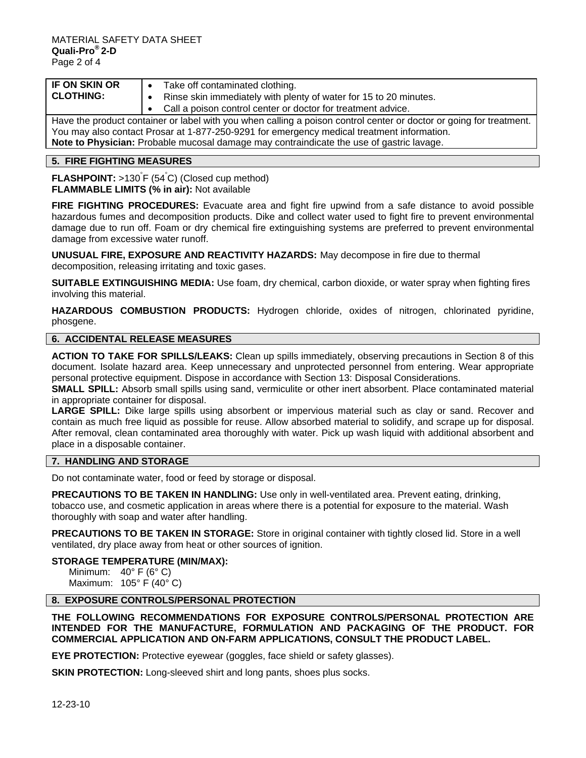| <b>IF ON SKIN OR</b>                                                                                                | $\bullet$ Take off contaminated clothing.                                                  |  |  |
|---------------------------------------------------------------------------------------------------------------------|--------------------------------------------------------------------------------------------|--|--|
| <b>CLOTHING:</b>                                                                                                    | Rinse skin immediately with plenty of water for 15 to 20 minutes.                          |  |  |
|                                                                                                                     | • Call a poison control center or doctor for treatment advice.                             |  |  |
| Have the product container or label with you when calling a poison control center or doctor or going for treatment. |                                                                                            |  |  |
|                                                                                                                     | You may also contact Prosar at 1-877-250-9291 for emergency medical treatment information. |  |  |
|                                                                                                                     | Note to Physician: Probable mucosal damage may contraindicate the use of gastric lavage.   |  |  |

# **5. FIRE FIGHTING MEASURES**

**FLASHPOINT:** >130° F (54° C) (Closed cup method) **FLAMMABLE LIMITS (% in air):** Not available

**FIRE FIGHTING PROCEDURES:** Evacuate area and fight fire upwind from a safe distance to avoid possible hazardous fumes and decomposition products. Dike and collect water used to fight fire to prevent environmental damage due to run off. Foam or dry chemical fire extinguishing systems are preferred to prevent environmental damage from excessive water runoff.

**UNUSUAL FIRE, EXPOSURE AND REACTIVITY HAZARDS:** May decompose in fire due to thermal decomposition, releasing irritating and toxic gases.

**SUITABLE EXTINGUISHING MEDIA:** Use foam, dry chemical, carbon dioxide, or water spray when fighting fires involving this material.

**HAZARDOUS COMBUSTION PRODUCTS:** Hydrogen chloride, oxides of nitrogen, chlorinated pyridine, phosgene.

## **6. ACCIDENTAL RELEASE MEASURES**

**ACTION TO TAKE FOR SPILLS/LEAKS:** Clean up spills immediately, observing precautions in Section 8 of this document. Isolate hazard area. Keep unnecessary and unprotected personnel from entering. Wear appropriate personal protective equipment. Dispose in accordance with Section 13: Disposal Considerations.

**SMALL SPILL:** Absorb small spills using sand, vermiculite or other inert absorbent. Place contaminated material in appropriate container for disposal.

LARGE SPILL: Dike large spills using absorbent or impervious material such as clay or sand. Recover and contain as much free liquid as possible for reuse. Allow absorbed material to solidify, and scrape up for disposal. After removal, clean contaminated area thoroughly with water. Pick up wash liquid with additional absorbent and place in a disposable container.

# **7. HANDLING AND STORAGE**

Do not contaminate water, food or feed by storage or disposal.

**PRECAUTIONS TO BE TAKEN IN HANDLING:** Use only in well-ventilated area. Prevent eating, drinking, tobacco use, and cosmetic application in areas where there is a potential for exposure to the material. Wash thoroughly with soap and water after handling.

**PRECAUTIONS TO BE TAKEN IN STORAGE:** Store in original container with tightly closed lid. Store in a well ventilated, dry place away from heat or other sources of ignition.

## **STORAGE TEMPERATURE (MIN/MAX):**

Minimum:  $40^{\circ}$  F (6° C) Maximum: 105° F (40° C)

## **8. EXPOSURE CONTROLS/PERSONAL PROTECTION**

**THE FOLLOWING RECOMMENDATIONS FOR EXPOSURE CONTROLS/PERSONAL PROTECTION ARE INTENDED FOR THE MANUFACTURE, FORMULATION AND PACKAGING OF THE PRODUCT. FOR COMMERCIAL APPLICATION AND ON-FARM APPLICATIONS, CONSULT THE PRODUCT LABEL.** 

**EYE PROTECTION:** Protective eyewear (goggles, face shield or safety glasses).

**SKIN PROTECTION:** Long-sleeved shirt and long pants, shoes plus socks.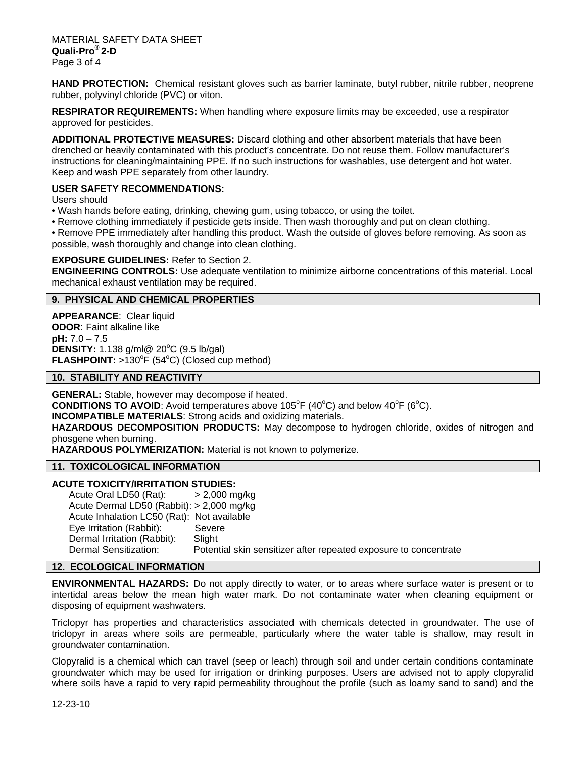**HAND PROTECTION:** Chemical resistant gloves such as barrier laminate, butyl rubber, nitrile rubber, neoprene rubber, polyvinyl chloride (PVC) or viton.

**RESPIRATOR REQUIREMENTS:** When handling where exposure limits may be exceeded, use a respirator approved for pesticides.

**ADDITIONAL PROTECTIVE MEASURES:** Discard clothing and other absorbent materials that have been drenched or heavily contaminated with this product's concentrate. Do not reuse them. Follow manufacturer's instructions for cleaning/maintaining PPE. If no such instructions for washables, use detergent and hot water. Keep and wash PPE separately from other laundry.

# **USER SAFETY RECOMMENDATIONS:**

Users should

- Wash hands before eating, drinking, chewing gum, using tobacco, or using the toilet.
- Remove clothing immediately if pesticide gets inside. Then wash thoroughly and put on clean clothing.

• Remove PPE immediately after handling this product. Wash the outside of gloves before removing. As soon as possible, wash thoroughly and change into clean clothing.

## **EXPOSURE GUIDELINES:** Refer to Section 2.

**ENGINEERING CONTROLS:** Use adequate ventilation to minimize airborne concentrations of this material. Local mechanical exhaust ventilation may be required.

# **9. PHYSICAL AND CHEMICAL PROPERTIES**

**APPEARANCE**: Clear liquid **ODOR**: Faint alkaline like **pH:** 7.0 – 7.5 **DENSITY:** 1.138 g/ml@ 20<sup>°</sup>C (9.5 lb/gal) **FLASHPOINT:** >130°F (54°C) (Closed cup method)

**10. STABILITY AND REACTIVITY** 

**GENERAL:** Stable, however may decompose if heated.

**CONDITIONS TO AVOID:** Avoid temperatures above 105<sup>°</sup>F (40<sup>°</sup>C) and below 40<sup>°</sup>F (6<sup>°</sup>C).

**INCOMPATIBLE MATERIALS**: Strong acids and oxidizing materials.

**HAZARDOUS DECOMPOSITION PRODUCTS:** May decompose to hydrogen chloride, oxides of nitrogen and phosgene when burning.

**HAZARDOUS POLYMERIZATION:** Material is not known to polymerize.

## **11. TOXICOLOGICAL INFORMATION**

### **ACUTE TOXICITY/IRRITATION STUDIES:**

Acute Oral LD50 (Rat): > 2,000 mg/kg Acute Dermal LD50 (Rabbit): > 2,000 mg/kg Acute Inhalation LC50 (Rat): Not available Eye Irritation (Rabbit): Severe Dermal Irritation (Rabbit): Slight Dermal Sensitization: Potential skin sensitizer after repeated exposure to concentrate

## **12. ECOLOGICAL INFORMATION**

**ENVIRONMENTAL HAZARDS:** Do not apply directly to water, or to areas where surface water is present or to intertidal areas below the mean high water mark. Do not contaminate water when cleaning equipment or disposing of equipment washwaters.

Triclopyr has properties and characteristics associated with chemicals detected in groundwater. The use of triclopyr in areas where soils are permeable, particularly where the water table is shallow, may result in groundwater contamination.

Clopyralid is a chemical which can travel (seep or leach) through soil and under certain conditions contaminate groundwater which may be used for irrigation or drinking purposes. Users are advised not to apply clopyralid where soils have a rapid to very rapid permeability throughout the profile (such as loamy sand to sand) and the